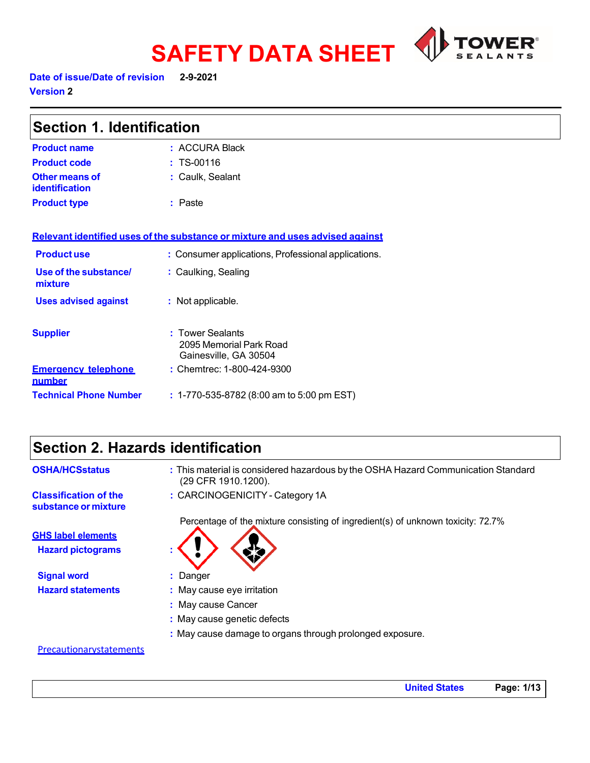

# **SAFETY DATA SHEET Date of issue/Date of revision 2-9-2021**

**Version 2** 

| <b>Section 1. Identification</b>     |                                                                               |
|--------------------------------------|-------------------------------------------------------------------------------|
| <b>Product name</b>                  | : ACCURA Black                                                                |
| <b>Product code</b>                  | $: TS-00116$                                                                  |
| Other means of<br>identification     | : Caulk, Sealant                                                              |
| <b>Product type</b>                  | : Paste                                                                       |
|                                      | Relevant identified uses of the substance or mixture and uses advised against |
| <b>Productuse</b>                    | : Consumer applications, Professional applications.                           |
| Use of the substance/<br>mixture     | : Caulking, Sealing                                                           |
| <b>Uses advised against</b>          | : Not applicable.                                                             |
| <b>Supplier</b>                      | : Tower Sealants<br>2095 Memorial Park Road<br>Gainesville, GA 30504          |
| <b>Emergency telephone</b><br>number | : Chemtrec: 1-800-424-9300                                                    |

**Technical Phone Number :** 1-770-535-8782 (8:00 am to 5:00 pm EST)

### **Section 2. Hazards identification**

| <b>OSHA/HCSstatus</b>                                | : This material is considered hazardous by the OSHA Hazard Communication Standard<br>(29 CFR 1910.1200). |
|------------------------------------------------------|----------------------------------------------------------------------------------------------------------|
| <b>Classification of the</b><br>substance or mixture | : CARCINOGENICITY - Category 1A                                                                          |
|                                                      | Percentage of the mixture consisting of ingredient(s) of unknown toxicity: 72.7%                         |
| <b>GHS label elements</b>                            |                                                                                                          |
| <b>Hazard pictograms</b>                             |                                                                                                          |
| <b>Signal word</b>                                   | Danger                                                                                                   |
| <b>Hazard statements</b>                             | : May cause eye irritation                                                                               |
|                                                      | : May cause Cancer                                                                                       |
|                                                      | : May cause genetic defects                                                                              |
|                                                      | : May cause damage to organs through prolonged exposure.                                                 |

#### **Precautionarystatements**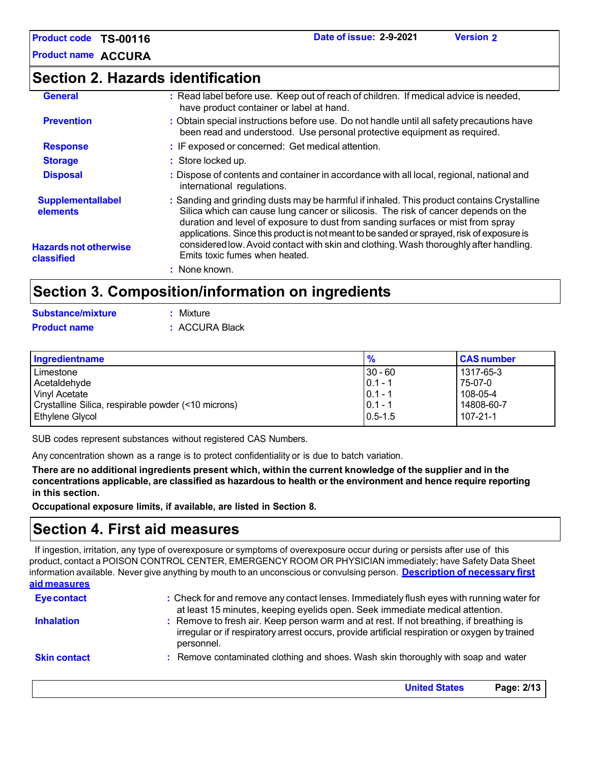**Product name ACCURA**

### **Section 2. Hazards identification**

| <b>General</b>                             | : Read label before use. Keep out of reach of children. If medical advice is needed,<br>have product container or label at hand.                                                                                                                                   |
|--------------------------------------------|--------------------------------------------------------------------------------------------------------------------------------------------------------------------------------------------------------------------------------------------------------------------|
| <b>Prevention</b>                          | : Obtain special instructions before use. Do not handle until all safety precautions have<br>been read and understood. Use personal protective equipment as required.                                                                                              |
| <b>Response</b>                            | : IF exposed or concerned: Get medical attention.                                                                                                                                                                                                                  |
| <b>Storage</b>                             | : Store locked up.                                                                                                                                                                                                                                                 |
| <b>Disposal</b>                            | : Dispose of contents and container in accordance with all local, regional, national and<br>international regulations.                                                                                                                                             |
| <b>Supplementallabel</b><br>elements       | : Sanding and grinding dusts may be harmful if inhaled. This product contains Crystalline<br>Silica which can cause lung cancer or silicosis. The risk of cancer depends on the<br>duration and level of exposure to dust from sanding surfaces or mist from spray |
| <b>Hazards not otherwise</b><br>classified | applications. Since this product is not meant to be sanded or sprayed, risk of exposure is<br>considered low. Avoid contact with skin and clothing. Wash thoroughly after handling.<br>Emits toxic fumes when heated.                                              |
|                                            | : None known.                                                                                                                                                                                                                                                      |
|                                            | Section 3 Composition/information on ingradiants                                                                                                                                                                                                                   |

### **Section 3. Composition/information on ingredients**

| Substance/mixture   | : Mixture      |
|---------------------|----------------|
| <b>Product name</b> | : ACCURA Black |

| Ingredientname                                      | $\frac{9}{6}$ | <b>CAS number</b> |
|-----------------------------------------------------|---------------|-------------------|
| Limestone                                           | $30 - 60$     | 1317-65-3         |
| Acetaldehyde                                        | $ 0.1 - 1$    | 75-07-0           |
| <b>Vinyl Acetate</b>                                | $ 0.1 - 1$    | $108-05-4$        |
| Crystalline Silica, respirable powder (<10 microns) | $0.1 - 1$     | 14808-60-7        |
| <b>Ethylene Glycol</b>                              | $10.5 - 1.5$  | $107 - 21 - 1$    |

SUB codes represent substances without registered CAS Numbers.

Any concentration shown as a range is to protect confidentiality or is due to batch variation.

There are no additional ingredients present which, within the current knowledge of the supplier and in the **concentrations applicable, are classified as hazardous to health or the environment and hence require reporting in this section.**

**Occupational exposure limits, if available, are listed in Section 8.**

### **Section 4. First aid measures**

If ingestion, irritation, any type of overexposure or symptoms of overexposure occur during or persists after use of this product, contact a POISON CONTROL CENTER, EMERGENCY ROOM OR PHYSICIAN immediately; have Safety Data Sheet information available. Never give anything by mouth to an unconscious or convulsing person. **Description of necessary first aid measures**

| <b>Eye contact</b>  | : Check for and remove any contact lenses. Immediately flush eyes with running water for<br>at least 15 minutes, keeping eyelids open. Seek immediate medical attention.                               |
|---------------------|--------------------------------------------------------------------------------------------------------------------------------------------------------------------------------------------------------|
| <b>Inhalation</b>   | : Remove to fresh air. Keep person warm and at rest. If not breathing, if breathing is<br>irregular or if respiratory arrest occurs, provide artificial respiration or oxygen by trained<br>personnel. |
| <b>Skin contact</b> | : Remove contaminated clothing and shoes. Wash skin thoroughly with soap and water                                                                                                                     |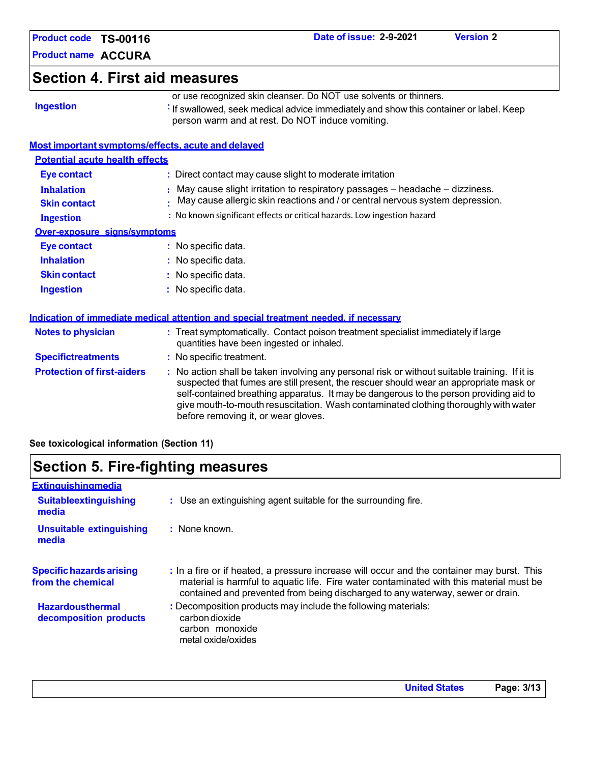| Product code TS-00116                    | Date of issue: 2-9-2021<br><b>Version 2</b>                                                                                                                                                                                                                                                                                                                                                                     |
|------------------------------------------|-----------------------------------------------------------------------------------------------------------------------------------------------------------------------------------------------------------------------------------------------------------------------------------------------------------------------------------------------------------------------------------------------------------------|
| <b>Product name ACCURA</b>               |                                                                                                                                                                                                                                                                                                                                                                                                                 |
| <b>Section 4. First aid measures</b>     |                                                                                                                                                                                                                                                                                                                                                                                                                 |
| <b>Ingestion</b>                         | or use recognized skin cleanser. Do NOT use solvents or thinners.<br>: If swallowed, seek medical advice immediately and show this container or label. Keep<br>person warm and at rest. Do NOT induce vomiting.                                                                                                                                                                                                 |
|                                          | Most important symptoms/effects, acute and delayed                                                                                                                                                                                                                                                                                                                                                              |
| <b>Potential acute health effects</b>    |                                                                                                                                                                                                                                                                                                                                                                                                                 |
| Eye contact                              | : Direct contact may cause slight to moderate irritation                                                                                                                                                                                                                                                                                                                                                        |
| <b>Inhalation</b><br><b>Skin contact</b> | May cause slight irritation to respiratory passages - headache - dizziness.<br>May cause allergic skin reactions and / or central nervous system depression.                                                                                                                                                                                                                                                    |
| <b>Ingestion</b>                         | : No known significant effects or critical hazards. Low ingestion hazard                                                                                                                                                                                                                                                                                                                                        |
| Over-exposure signs/symptoms             |                                                                                                                                                                                                                                                                                                                                                                                                                 |
| <b>Eye contact</b>                       | : No specific data.                                                                                                                                                                                                                                                                                                                                                                                             |
| <b>Inhalation</b>                        | : No specific data.                                                                                                                                                                                                                                                                                                                                                                                             |
| <b>Skin contact</b>                      | No specific data.                                                                                                                                                                                                                                                                                                                                                                                               |
| <b>Ingestion</b>                         | : No specific data.                                                                                                                                                                                                                                                                                                                                                                                             |
|                                          | Indication of immediate medical attention and special treatment needed, if necessary                                                                                                                                                                                                                                                                                                                            |
| <b>Notes to physician</b>                | : Treat symptomatically. Contact poison treatment specialist immediately if large<br>quantities have been ingested or inhaled.                                                                                                                                                                                                                                                                                  |
| <b>Specifictreatments</b>                | : No specific treatment.                                                                                                                                                                                                                                                                                                                                                                                        |
| <b>Protection of first-aiders</b>        | : No action shall be taken involving any personal risk or without suitable training. If it is<br>suspected that fumes are still present, the rescuer should wear an appropriate mask or<br>self-contained breathing apparatus. It may be dangerous to the person providing aid to<br>give mouth-to-mouth resuscitation. Wash contaminated clothing thoroughly with water<br>before removing it, or wear gloves. |

**See toxicological information (Section 11)**

| <b>Section 5. Fire-fighting measures</b>             |                                                                                                                                                                                                                                                                         |  |
|------------------------------------------------------|-------------------------------------------------------------------------------------------------------------------------------------------------------------------------------------------------------------------------------------------------------------------------|--|
| <b>Extinguishingmedia</b>                            |                                                                                                                                                                                                                                                                         |  |
| <b>Suitableextinguishing</b><br>media                | : Use an extinguishing agent suitable for the surrounding fire.                                                                                                                                                                                                         |  |
| Unsuitable extinguishing<br>media                    | $:$ None known.                                                                                                                                                                                                                                                         |  |
| <b>Specific hazards arising</b><br>from the chemical | : In a fire or if heated, a pressure increase will occur and the container may burst. This<br>material is harmful to aquatic life. Fire water contaminated with this material must be<br>contained and prevented from being discharged to any waterway, sewer or drain. |  |
| <b>Hazardousthermal</b><br>decomposition products    | : Decomposition products may include the following materials:<br>carbon dioxide<br>carbon monoxide<br>metal oxide/oxides                                                                                                                                                |  |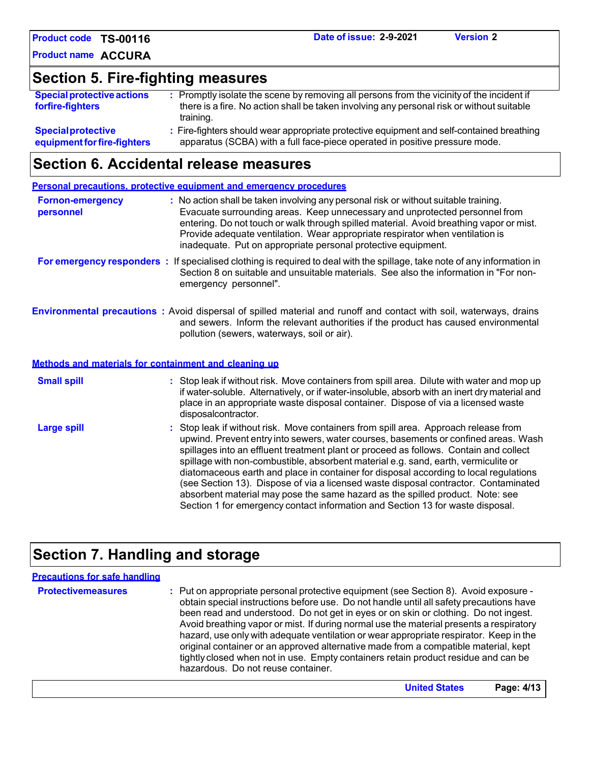**Product name ACCURA**

### **Section 5. Fire-fighting measures**

| <b>Special protective actions</b>                        | : Promptly isolate the scene by removing all persons from the vicinity of the incident if                                                                                |
|----------------------------------------------------------|--------------------------------------------------------------------------------------------------------------------------------------------------------------------------|
| forfire-fighters                                         | there is a fire. No action shall be taken involving any personal risk or without suitable<br>training.                                                                   |
| <b>Special protective</b><br>equipment for fire-fighters | : Fire-fighters should wear appropriate protective equipment and self-contained breathing<br>apparatus (SCBA) with a full face-piece operated in positive pressure mode. |

### **Section 6. Accidental release measures**

|                                      | Personal precautions, protective equipment and emergency procedures                                                                                                                                                                                                                                                                                                                                                                                                                                                                                                                                                                                                                                          |
|--------------------------------------|--------------------------------------------------------------------------------------------------------------------------------------------------------------------------------------------------------------------------------------------------------------------------------------------------------------------------------------------------------------------------------------------------------------------------------------------------------------------------------------------------------------------------------------------------------------------------------------------------------------------------------------------------------------------------------------------------------------|
| <b>Fornon-emergency</b><br>personnel | : No action shall be taken involving any personal risk or without suitable training.<br>Evacuate surrounding areas. Keep unnecessary and unprotected personnel from<br>entering. Do not touch or walk through spilled material. Avoid breathing vapor or mist.<br>Provide adequate ventilation. Wear appropriate respirator when ventilation is<br>inadequate. Put on appropriate personal protective equipment.                                                                                                                                                                                                                                                                                             |
|                                      | For emergency responders : If specialised clothing is required to deal with the spillage, take note of any information in<br>Section 8 on suitable and unsuitable materials. See also the information in "For non-<br>emergency personnel".                                                                                                                                                                                                                                                                                                                                                                                                                                                                  |
|                                      | <b>Environmental precautions</b> : Avoid dispersal of spilled material and runoff and contact with soil, waterways, drains<br>and sewers. Inform the relevant authorities if the product has caused environmental<br>pollution (sewers, waterways, soil or air).                                                                                                                                                                                                                                                                                                                                                                                                                                             |
|                                      | Methods and materials for containment and cleaning up                                                                                                                                                                                                                                                                                                                                                                                                                                                                                                                                                                                                                                                        |
| <b>Small spill</b>                   | : Stop leak if without risk. Move containers from spill area. Dilute with water and mop up<br>if water-soluble. Alternatively, or if water-insoluble, absorb with an inert dry material and<br>place in an appropriate waste disposal container. Dispose of via a licensed waste<br>disposalcontractor.                                                                                                                                                                                                                                                                                                                                                                                                      |
| <b>Large spill</b>                   | : Stop leak if without risk. Move containers from spill area. Approach release from<br>upwind. Prevent entry into sewers, water courses, basements or confined areas. Wash<br>spillages into an effluent treatment plant or proceed as follows. Contain and collect<br>spillage with non-combustible, absorbent material e.g. sand, earth, vermiculite or<br>diatomaceous earth and place in container for disposal according to local regulations<br>(see Section 13). Dispose of via a licensed waste disposal contractor. Contaminated<br>absorbent material may pose the same hazard as the spilled product. Note: see<br>Section 1 for emergency contact information and Section 13 for waste disposal. |

# **Section 7. Handling and storage**

| <b>Precautions for safe handling</b> |                                                                                                                                                                                                                                                                                                                                                                                                                                                                                                                                                                                                                                                                                |
|--------------------------------------|--------------------------------------------------------------------------------------------------------------------------------------------------------------------------------------------------------------------------------------------------------------------------------------------------------------------------------------------------------------------------------------------------------------------------------------------------------------------------------------------------------------------------------------------------------------------------------------------------------------------------------------------------------------------------------|
| <b>Protectivemeasures</b>            | : Put on appropriate personal protective equipment (see Section 8). Avoid exposure -<br>obtain special instructions before use. Do not handle until all safety precautions have<br>been read and understood. Do not get in eyes or on skin or clothing. Do not ingest.<br>Avoid breathing vapor or mist. If during normal use the material presents a respiratory<br>hazard, use only with adequate ventilation or wear appropriate respirator. Keep in the<br>original container or an approved alternative made from a compatible material, kept<br>tightly closed when not in use. Empty containers retain product residue and can be<br>hazardous. Do not reuse container. |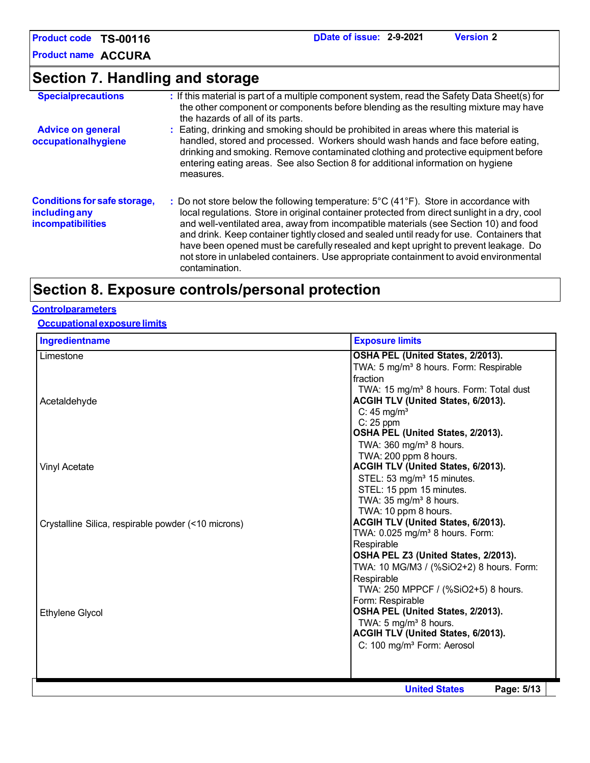**Product name ACCURA**

## **Section 7. Handling and storage**

| <b>Specialprecautions</b>                                                        | : If this material is part of a multiple component system, read the Safety Data Sheet(s) for<br>the other component or components before blending as the resulting mixture may have<br>the hazards of all of its parts.                                                                                                                                                                                                                                                                                                                                                    |
|----------------------------------------------------------------------------------|----------------------------------------------------------------------------------------------------------------------------------------------------------------------------------------------------------------------------------------------------------------------------------------------------------------------------------------------------------------------------------------------------------------------------------------------------------------------------------------------------------------------------------------------------------------------------|
| <b>Advice on general</b><br>occupationalhygiene                                  | : Eating, drinking and smoking should be prohibited in areas where this material is<br>handled, stored and processed. Workers should wash hands and face before eating,<br>drinking and smoking. Remove contaminated clothing and protective equipment before<br>entering eating areas. See also Section 8 for additional information on hygiene<br>measures.                                                                                                                                                                                                              |
| <b>Conditions for safe storage,</b><br>including any<br><b>incompatibilities</b> | : Do not store below the following temperature: 5°C (41°F). Store in accordance with<br>local regulations. Store in original container protected from direct sunlight in a dry, cool<br>and well-ventilated area, away from incompatible materials (see Section 10) and food<br>and drink. Keep container tightly closed and sealed until ready for use. Containers that<br>have been opened must be carefully resealed and kept upright to prevent leakage. Do<br>not store in unlabeled containers. Use appropriate containment to avoid environmental<br>contamination. |

### **Section 8. Exposure controls/personal protection**

#### **Controlparameters**

#### **Occupationalexposurelimits**

| Ingredientname                                      | <b>Exposure limits</b>                                       |
|-----------------------------------------------------|--------------------------------------------------------------|
| Limestone                                           | OSHA PEL (United States, 2/2013).                            |
|                                                     | TWA: 5 mg/m <sup>3</sup> 8 hours. Form: Respirable           |
|                                                     | fraction                                                     |
|                                                     | TWA: 15 mg/m <sup>3</sup> 8 hours. Form: Total dust          |
| Acetaldehyde                                        | ACGIH TLV (United States, 6/2013).<br>C: $45 \text{ mg/m}^3$ |
|                                                     | $C: 25$ ppm                                                  |
|                                                     | OSHA PEL (United States, 2/2013).                            |
|                                                     | TWA: $360 \text{ mg/m}^3$ 8 hours.                           |
|                                                     | TWA: 200 ppm 8 hours.                                        |
| <b>Vinyl Acetate</b>                                | ACGIH TLV (United States, 6/2013).                           |
|                                                     | STEL: 53 mg/m <sup>3</sup> 15 minutes.                       |
|                                                     | STEL: 15 ppm 15 minutes.                                     |
|                                                     | TWA: $35 \text{ mg/m}^3$ 8 hours.<br>TWA: 10 ppm 8 hours.    |
| Crystalline Silica, respirable powder (<10 microns) | ACGIH TLV (United States, 6/2013).                           |
|                                                     | TWA: 0.025 mg/m <sup>3</sup> 8 hours. Form:                  |
|                                                     | Respirable                                                   |
|                                                     | OSHA PEL Z3 (United States, 2/2013).                         |
|                                                     | TWA: 10 MG/M3 / (%SiO2+2) 8 hours. Form:                     |
|                                                     | Respirable                                                   |
|                                                     | TWA: 250 MPPCF / (%SiO2+5) 8 hours.                          |
|                                                     | Form: Respirable<br>OSHA PEL (United States, 2/2013).        |
| Ethylene Glycol                                     | TWA: 5 mg/m <sup>3</sup> 8 hours.                            |
|                                                     | ACGIH TLV (United States, 6/2013).                           |
|                                                     | C: 100 mg/m <sup>3</sup> Form: Aerosol                       |
|                                                     |                                                              |
|                                                     |                                                              |
|                                                     | <b>United States</b><br>Page: 5/13                           |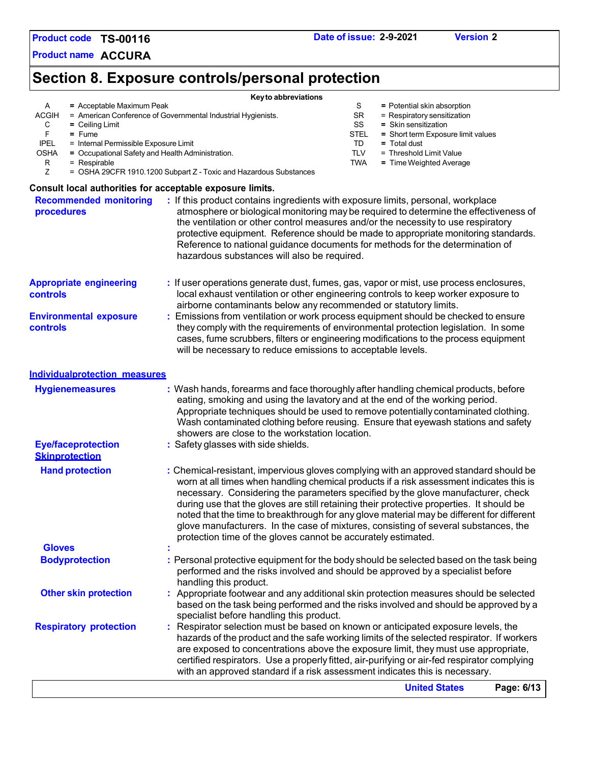**Product name ACCURA**

# **Section 8. Exposure controls/personal protection**

| = Acceptable Maximum Peak<br>A                                                                           | Key to abbreviations<br>S<br>= Potential skin absorption                                                                                                                   |
|----------------------------------------------------------------------------------------------------------|----------------------------------------------------------------------------------------------------------------------------------------------------------------------------|
| <b>ACGIH</b>                                                                                             | = American Conference of Governmental Industrial Hygienists.<br><b>SR</b><br>$=$ Respiratory sensitization                                                                 |
| C<br>$=$ Ceiling Limit                                                                                   | SS<br>= Skin sensitization                                                                                                                                                 |
| F<br>$=$ Fume<br><b>IPEL</b>                                                                             | <b>STEL</b><br>= Short term Exposure limit values<br>TD<br>= Total dust                                                                                                    |
| = Internal Permissible Exposure Limit<br><b>OSHA</b><br>= Occupational Safety and Health Administration. | TLV<br>= Threshold Limit Value                                                                                                                                             |
| R<br>$=$ Respirable                                                                                      | TWA<br>= Time Weighted Average                                                                                                                                             |
| Ζ                                                                                                        | = OSHA 29CFR 1910.1200 Subpart Z - Toxic and Hazardous Substances                                                                                                          |
| Consult local authorities for acceptable exposure limits.                                                |                                                                                                                                                                            |
| <b>Recommended monitoring</b>                                                                            | : If this product contains ingredients with exposure limits, personal, workplace                                                                                           |
| procedures                                                                                               | atmosphere or biological monitoring may be required to determine the effectiveness of                                                                                      |
|                                                                                                          | the ventilation or other control measures and/or the necessity to use respiratory                                                                                          |
|                                                                                                          | protective equipment. Reference should be made to appropriate monitoring standards.<br>Reference to national guidance documents for methods for the determination of       |
|                                                                                                          | hazardous substances will also be required.                                                                                                                                |
|                                                                                                          |                                                                                                                                                                            |
| <b>Appropriate engineering</b>                                                                           | : If user operations generate dust, fumes, gas, vapor or mist, use process enclosures,                                                                                     |
| controls                                                                                                 | local exhaust ventilation or other engineering controls to keep worker exposure to                                                                                         |
|                                                                                                          | airborne contaminants below any recommended or statutory limits.                                                                                                           |
| <b>Environmental exposure</b>                                                                            | : Emissions from ventilation or work process equipment should be checked to ensure                                                                                         |
| controls                                                                                                 | they comply with the requirements of environmental protection legislation. In some                                                                                         |
|                                                                                                          | cases, fume scrubbers, filters or engineering modifications to the process equipment                                                                                       |
|                                                                                                          | will be necessary to reduce emissions to acceptable levels.                                                                                                                |
| <b>Individualprotection measures</b>                                                                     |                                                                                                                                                                            |
| <b>Hygienemeasures</b>                                                                                   | : Wash hands, forearms and face thoroughly after handling chemical products, before                                                                                        |
|                                                                                                          | eating, smoking and using the lavatory and at the end of the working period.                                                                                               |
|                                                                                                          | Appropriate techniques should be used to remove potentially contaminated clothing.                                                                                         |
|                                                                                                          | Wash contaminated clothing before reusing. Ensure that eyewash stations and safety                                                                                         |
| <b>Eye/faceprotection</b>                                                                                | showers are close to the workstation location.<br>: Safety glasses with side shields.                                                                                      |
| <b>Skinprotection</b>                                                                                    |                                                                                                                                                                            |
| <b>Hand protection</b>                                                                                   | : Chemical-resistant, impervious gloves complying with an approved standard should be                                                                                      |
|                                                                                                          | worn at all times when handling chemical products if a risk assessment indicates this is                                                                                   |
|                                                                                                          | necessary. Considering the parameters specified by the glove manufacturer, check                                                                                           |
|                                                                                                          | during use that the gloves are still retaining their protective properties. It should be                                                                                   |
|                                                                                                          | noted that the time to breakthrough for any glove material may be different for different                                                                                  |
|                                                                                                          | glove manufacturers. In the case of mixtures, consisting of several substances, the                                                                                        |
|                                                                                                          | protection time of the gloves cannot be accurately estimated.                                                                                                              |
| <b>Gloves</b><br><b>Bodyprotection</b>                                                                   | : Personal protective equipment for the body should be selected based on the task being                                                                                    |
|                                                                                                          | performed and the risks involved and should be approved by a specialist before                                                                                             |
|                                                                                                          | handling this product.                                                                                                                                                     |
| <b>Other skin protection</b>                                                                             | : Appropriate footwear and any additional skin protection measures should be selected                                                                                      |
|                                                                                                          | based on the task being performed and the risks involved and should be approved by a                                                                                       |
|                                                                                                          | specialist before handling this product.                                                                                                                                   |
| <b>Respiratory protection</b>                                                                            | Respirator selection must be based on known or anticipated exposure levels, the                                                                                            |
|                                                                                                          | hazards of the product and the safe working limits of the selected respirator. If workers                                                                                  |
|                                                                                                          | are exposed to concentrations above the exposure limit, they must use appropriate,                                                                                         |
|                                                                                                          | certified respirators. Use a properly fitted, air-purifying or air-fed respirator complying<br>with an approved standard if a risk assessment indicates this is necessary. |
|                                                                                                          | <b>United States</b>                                                                                                                                                       |
|                                                                                                          | Page: 6/13                                                                                                                                                                 |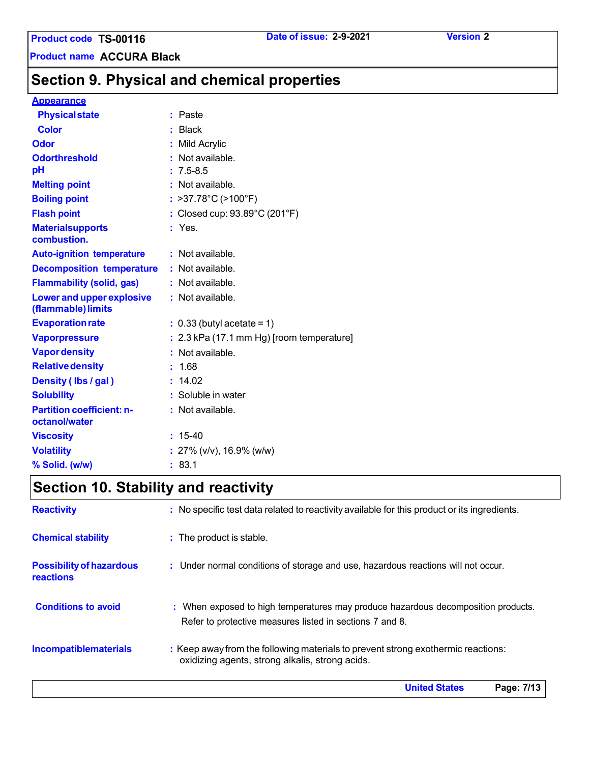**Product name ACCURA Black**

### **Section 9. Physical and chemical properties**

### **Appearance**

| <b>Physical state</b>                                  | : Paste                                     |
|--------------------------------------------------------|---------------------------------------------|
| <b>Color</b>                                           | $:$ Black                                   |
| Odor                                                   | : Mild Acrylic                              |
| <b>Odorthreshold</b>                                   | Not available.                              |
| pH                                                     | $: 7.5 - 8.5$                               |
| <b>Melting point</b>                                   | : Not available.                            |
| <b>Boiling point</b>                                   | : >37.78 $^{\circ}$ C (>100 $^{\circ}$ F)   |
| <b>Flash point</b>                                     | : Closed cup: 93.89°C (201°F)               |
| <b>Materialsupports</b><br>combustion.                 | $:$ Yes.                                    |
| <b>Auto-ignition temperature</b>                       | : Not available.                            |
| <b>Decomposition temperature</b>                       | : Not available.                            |
| <b>Flammability (solid, gas)</b>                       | : Not available.                            |
| <b>Lower and upper explosive</b><br>(flammable) limits | : Not available.                            |
| <b>Evaporation rate</b>                                | $: 0.33$ (butyl acetate = 1)                |
| <b>Vaporpressure</b>                                   | $: 2.3$ kPa (17.1 mm Hg) [room temperature] |
| <b>Vapor density</b>                                   | : Not available.                            |
| <b>Relative density</b>                                | : 1.68                                      |
| Density (Ibs / gal)                                    | : 14.02                                     |
| <b>Solubility</b>                                      | : Soluble in water                          |
| <b>Partition coefficient: n-</b><br>octanol/water      | : Not available.                            |
| <b>Viscosity</b>                                       | $: 15-40$                                   |
| <b>Volatility</b>                                      | : $27\%$ (v/v), 16.9% (w/w)                 |
| % Solid. (w/w)                                         | : 83.1                                      |

# **Section 10. Stability and reactivity**

| <b>Reactivity</b>                                   | : No specific test data related to reactivity available for this product or its ingredients.                                                  |
|-----------------------------------------------------|-----------------------------------------------------------------------------------------------------------------------------------------------|
| <b>Chemical stability</b>                           | : The product is stable.                                                                                                                      |
| <b>Possibility of hazardous</b><br><b>reactions</b> | : Under normal conditions of storage and use, hazardous reactions will not occur.                                                             |
| <b>Conditions to avoid</b>                          | : When exposed to high temperatures may produce hazardous decomposition products.<br>Refer to protective measures listed in sections 7 and 8. |
| <b>Incompatiblematerials</b>                        | : Keep away from the following materials to prevent strong exothermic reactions:<br>oxidizing agents, strong alkalis, strong acids.           |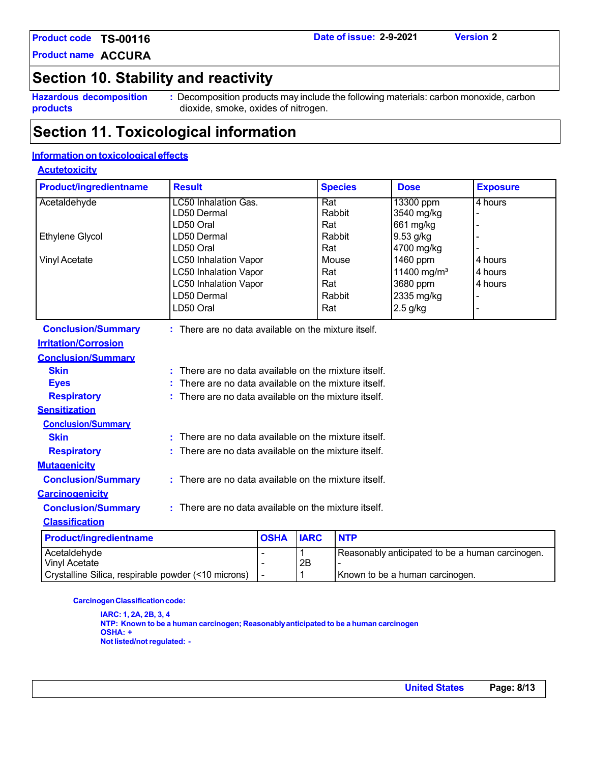**Product name ACCURA**

### **Section 10. Stability and reactivity**

**Hazardous decomposition products**

**:** Decomposition products may include the following materials: carbon monoxide, carbon dioxide, smoke, oxides of nitrogen.

### **Section 11. Toxicological information**

#### **Information on toxicological effects**

#### **Acutetoxicity**

| <b>Product/ingredientname</b> | <b>Result</b>                                          |             |             | <b>Species</b> | <b>Dose</b>                                      | <b>Exposure</b> |
|-------------------------------|--------------------------------------------------------|-------------|-------------|----------------|--------------------------------------------------|-----------------|
| Acetaldehyde                  | <b>LC50 Inhalation Gas.</b>                            |             | Rat         |                | 13300 ppm                                        | 4 hours         |
|                               | LD50 Dermal                                            |             |             | Rabbit         | 3540 mg/kg                                       |                 |
|                               | LD50 Oral                                              |             | Rat         |                | 661 mg/kg                                        |                 |
| Ethylene Glycol               | LD50 Dermal                                            |             |             | Rabbit         | 9.53 g/kg                                        |                 |
|                               | LD50 Oral                                              |             | Rat         |                | 4700 mg/kg                                       |                 |
| <b>Vinyl Acetate</b>          | <b>LC50 Inhalation Vapor</b>                           |             |             | Mouse          | 1460 ppm                                         | 4 hours         |
|                               | <b>LC50 Inhalation Vapor</b>                           |             | Rat         |                | 11400 mg/m <sup>3</sup>                          | 4 hours         |
|                               | <b>LC50 Inhalation Vapor</b>                           |             | Rat         |                | 3680 ppm                                         | 4 hours         |
|                               | LD50 Dermal                                            |             |             | Rabbit         | 2335 mg/kg                                       |                 |
|                               | LD50 Oral                                              |             | Rat         |                | $2.5$ g/kg                                       |                 |
| <b>Conclusion/Summary</b>     | : There are no data available on the mixture itself.   |             |             |                |                                                  |                 |
| <b>Irritation/Corrosion</b>   |                                                        |             |             |                |                                                  |                 |
| <b>Conclusion/Summary</b>     |                                                        |             |             |                |                                                  |                 |
| <b>Skin</b>                   | There are no data available on the mixture itself.     |             |             |                |                                                  |                 |
| <b>Eyes</b>                   | There are no data available on the mixture itself.     |             |             |                |                                                  |                 |
| <b>Respiratory</b>            | There are no data available on the mixture itself.     |             |             |                |                                                  |                 |
| <b>Sensitization</b>          |                                                        |             |             |                |                                                  |                 |
| <b>Conclusion/Summary</b>     |                                                        |             |             |                |                                                  |                 |
| <b>Skin</b>                   | There are no data available on the mixture itself.     |             |             |                |                                                  |                 |
| <b>Respiratory</b>            | There are no data available on the mixture itself.     |             |             |                |                                                  |                 |
| <b>Mutagenicity</b>           |                                                        |             |             |                |                                                  |                 |
| <b>Conclusion/Summary</b>     | $:$ There are no data available on the mixture itself. |             |             |                |                                                  |                 |
| <b>Carcinogenicity</b>        |                                                        |             |             |                |                                                  |                 |
| <b>Conclusion/Summary</b>     | : There are no data available on the mixture itself.   |             |             |                |                                                  |                 |
| <b>Classification</b>         |                                                        |             |             |                |                                                  |                 |
| <b>Product/ingredientname</b> |                                                        | <b>OSHA</b> | <b>IARC</b> | <b>NTP</b>     |                                                  |                 |
| Acetaldehyde                  |                                                        | ÷,          | $\mathbf 1$ |                | Reasonably anticipated to be a human carcinogen. |                 |

| <b>Carcinogen Classification code:</b> |  |
|----------------------------------------|--|

Vinyl Acetate 2B

**IARC: 1, 2A, 2B, 3, 4 NTP: Known to be a human carcinogen; Reasonablyanticipated to be a human carcinogen OSHA: + Notlisted/notregulated: -**

Crystalline Silica, respirable powder (<10 microns) | - | 1 | Known to be a human carcinogen.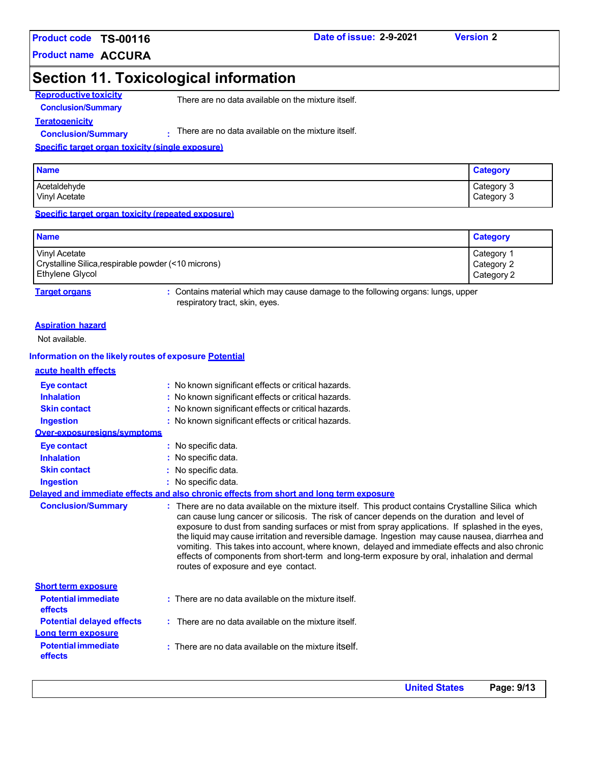#### **Product name ACCURA**

### **Section 11. Toxicological information**

**Reproductive toxicity Conclusion/Summary**

There are no data available on the mixture itself.

**Teratogenicity Conclusion/Summary :**

There are no data available on the mixture itself.

#### **Specific target organ toxicity (single exposure)**

| <b>Name</b>          | <b>Category</b> |
|----------------------|-----------------|
| Acetaldehyde         | Category 3      |
| <b>Vinyl Acetate</b> | Category 3      |

**Specific target organ toxicity (repeated exposure)**

| <b>Name</b>                                         | <b>Category</b> |
|-----------------------------------------------------|-----------------|
| Vinyl Acetate                                       | Category 1      |
| Crystalline Silica, respirable powder (<10 microns) | Category 2      |
| Ethylene Glycol                                     | Category 2      |

**Target organs :** Contains material which may cause damage to the following organs: lungs, upper respiratory tract, skin, eyes.

#### **Aspiration hazard**

Not available.

#### **Information on the likely routes of exposure Potential**

|  | acute health effects |
|--|----------------------|
|  |                      |

| Eye contact                           | : No known significant effects or critical hazards.                                                                                                                                                                                                                                                                                                                                                                                                                                                                                                                                                                                               |
|---------------------------------------|---------------------------------------------------------------------------------------------------------------------------------------------------------------------------------------------------------------------------------------------------------------------------------------------------------------------------------------------------------------------------------------------------------------------------------------------------------------------------------------------------------------------------------------------------------------------------------------------------------------------------------------------------|
| <b>Inhalation</b>                     | : No known significant effects or critical hazards.                                                                                                                                                                                                                                                                                                                                                                                                                                                                                                                                                                                               |
| <b>Skin contact</b>                   | : No known significant effects or critical hazards.                                                                                                                                                                                                                                                                                                                                                                                                                                                                                                                                                                                               |
| <b>Ingestion</b>                      | : No known significant effects or critical hazards.                                                                                                                                                                                                                                                                                                                                                                                                                                                                                                                                                                                               |
| Over-exposuresigns/symptoms           |                                                                                                                                                                                                                                                                                                                                                                                                                                                                                                                                                                                                                                                   |
| <b>Eye contact</b>                    | : No specific data.                                                                                                                                                                                                                                                                                                                                                                                                                                                                                                                                                                                                                               |
| <b>Inhalation</b>                     | : No specific data.                                                                                                                                                                                                                                                                                                                                                                                                                                                                                                                                                                                                                               |
| <b>Skin contact</b>                   | : No specific data.                                                                                                                                                                                                                                                                                                                                                                                                                                                                                                                                                                                                                               |
| <b>Ingestion</b>                      | : No specific data.                                                                                                                                                                                                                                                                                                                                                                                                                                                                                                                                                                                                                               |
|                                       | Delaved and immediate effects and also chronic effects from short and long term exposure                                                                                                                                                                                                                                                                                                                                                                                                                                                                                                                                                          |
| <b>Conclusion/Summary</b>             | : There are no data available on the mixture itself. This product contains Crystalline Silica which<br>can cause lung cancer or silicosis. The risk of cancer depends on the duration and level of<br>exposure to dust from sanding surfaces or mist from spray applications. If splashed in the eyes,<br>the liquid may cause irritation and reversible damage. Ingestion may cause nausea, diarrhea and<br>vomiting. This takes into account, where known, delayed and immediate effects and also chronic<br>effects of components from short-term and long-term exposure by oral, inhalation and dermal<br>routes of exposure and eye contact. |
| <b>Short term exposure</b>            |                                                                                                                                                                                                                                                                                                                                                                                                                                                                                                                                                                                                                                                   |
| <b>Potential immediate</b><br>effects | : There are no data available on the mixture itself.                                                                                                                                                                                                                                                                                                                                                                                                                                                                                                                                                                                              |
| <b>Potential delayed effects</b>      | : There are no data available on the mixture itself.                                                                                                                                                                                                                                                                                                                                                                                                                                                                                                                                                                                              |
| Long term exposure                    |                                                                                                                                                                                                                                                                                                                                                                                                                                                                                                                                                                                                                                                   |
| <b>Potential immediate</b><br>effects | $:$ There are no data available on the mixture itself.                                                                                                                                                                                                                                                                                                                                                                                                                                                                                                                                                                                            |
|                                       |                                                                                                                                                                                                                                                                                                                                                                                                                                                                                                                                                                                                                                                   |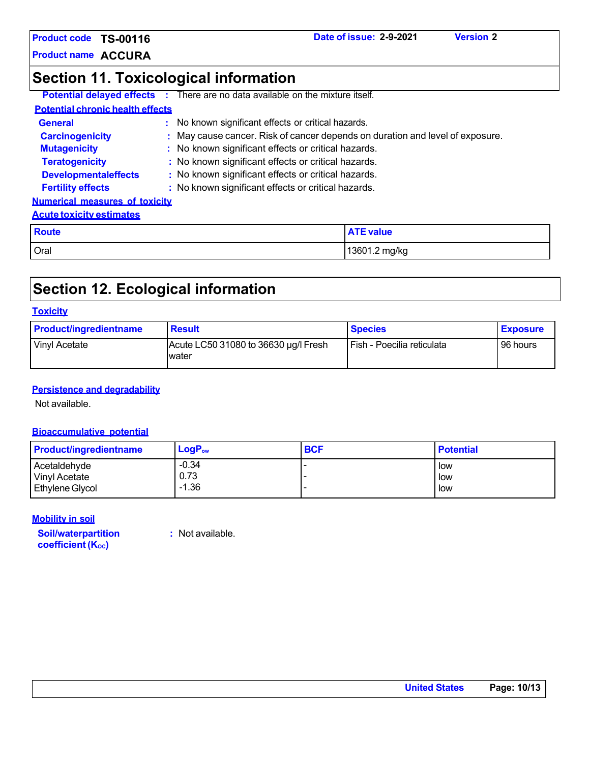**Product name ACCURA**

### **Section 11. Toxicological information**

|                                         | <b>Potential delayed effects</b> : There are no data available on the mixture itself. |
|-----------------------------------------|---------------------------------------------------------------------------------------|
| <b>Potential chronic health effects</b> |                                                                                       |
| <b>General</b>                          | : No known significant effects or critical hazards.                                   |
| <b>Carcinogenicity</b>                  | : May cause cancer. Risk of cancer depends on duration and level of exposure.         |
| <b>Mutagenicity</b>                     | : No known significant effects or critical hazards.                                   |
| <b>Teratogenicity</b>                   | : No known significant effects or critical hazards.                                   |
| <b>Developmentaleffects</b>             | : No known significant effects or critical hazards.                                   |
| <b>Fertility effects</b>                | : No known significant effects or critical hazards.                                   |
| <b>Numerical measures of toxicity</b>   |                                                                                       |
| <b>Acute toxicity estimates</b>         |                                                                                       |
| $D$ $\sim$                              | $ATE$ $v_0$ $h_1$                                                                     |

| <b>Route</b> | __<br>value   |
|--------------|---------------|
| Oral         | 13601.2 mg/kg |

### **Section 12. Ecological information**

#### **Toxicity**

| <b>Product/ingredientname</b> | <b>Result</b>                                 | <b>Species</b>             | <b>Exposure</b> |
|-------------------------------|-----------------------------------------------|----------------------------|-----------------|
| Vinyl Acetate                 | Acute LC50 31080 to 36630 µg/l Fresh<br>water | Fish - Poecilia reticulata | 96 hours        |

#### **Persistence and degradability**

Not available.

#### **Bioaccumulative potential**

| <b>Product/ingredientname</b> | $LogP_{ow}$ | <b>BCF</b> | <b>Potential</b> |
|-------------------------------|-------------|------------|------------------|
| Acetaldehyde                  | $-0.34$     |            | l low            |
| Vinyl Acetate                 | 0.73        |            | l low            |
| Ethylene Glycol               | $-1.36$     |            | l low            |

#### **Mobility in soil**

**Soil/waterpartition coefficient** (Koc)

**:** Not available.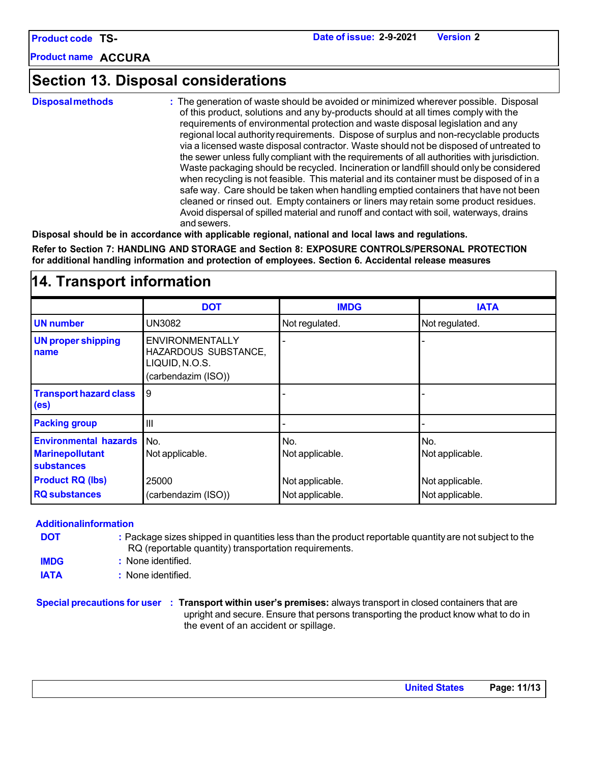**Product name ACCURA**

### **Section 13. Disposal considerations**

**Disposalmethods :** The generation of waste should be avoided or minimized wherever possible. Disposal of this product, solutions and any by-products should at all times comply with the requirements of environmental protection and waste disposal legislation and any regional local authorityrequirements. Dispose of surplus and non-recyclable products via a licensed waste disposal contractor. Waste should not be disposed of untreated to the sewer unless fully compliant with the requirements of all authorities with jurisdiction. Waste packaging should be recycled. Incineration or landfill should only be considered when recycling is not feasible. This material and its container must be disposed of in a safe way. Care should be taken when handling emptied containers that have not been cleaned or rinsed out. Empty containers or liners may retain some product residues. Avoid dispersal of spilled material and runoff and contact with soil, waterways, drains and sewers.

**Disposal should be in accordance with applicable regional, national and local laws and regulations.**

**Refer to Section 7: HANDLING AND STORAGE and Section 8: EXPOSURE CONTROLS/PERSONAL PROTECTION for additional handling information and protection of employees. Section 6. Accidental release measures**

| ודי וועווסטונ ווועווווענועוו                                                |                                                                                         |                                    |                                    |  |
|-----------------------------------------------------------------------------|-----------------------------------------------------------------------------------------|------------------------------------|------------------------------------|--|
|                                                                             | <b>DOT</b>                                                                              | <b>IMDG</b>                        | <b>IATA</b>                        |  |
| <b>UN number</b>                                                            | UN3082                                                                                  | Not regulated.                     | Not regulated.                     |  |
| <b>UN proper shipping</b><br>name                                           | <b>ENVIRONMENTALLY</b><br>HAZARDOUS SUBSTANCE,<br>LIQUID, N.O.S.<br>(carbendazim (ISO)) |                                    |                                    |  |
| <b>Transport hazard class</b><br>(e <sub>s</sub> )                          | 9                                                                                       |                                    |                                    |  |
| <b>Packing group</b>                                                        | $\mathbf{III}$                                                                          |                                    |                                    |  |
| <b>Environmental hazards</b><br><b>Marinepollutant</b><br><b>substances</b> | No.<br>Not applicable.                                                                  | No.<br>Not applicable.             | No.<br>Not applicable.             |  |
| <b>Product RQ (lbs)</b><br><b>RQ</b> substances                             | 25000<br>(carbendazim (ISO))                                                            | Not applicable.<br>Not applicable. | Not applicable.<br>Not applicable. |  |

### **14. Transport information**

#### **Additionalinformation**

- **DOT :** Package sizes shipped in quantities less than the product reportable quantityare not subject to the RQ (reportable quantity) transportation requirements.
- **IMDG :** None identified.
- **IATA :** None identified.

**Special precautions for user : Transport within user's premises:** always transport in closed containers that are upright and secure. Ensure that persons transporting the product know what to do in the event of an accident or spillage.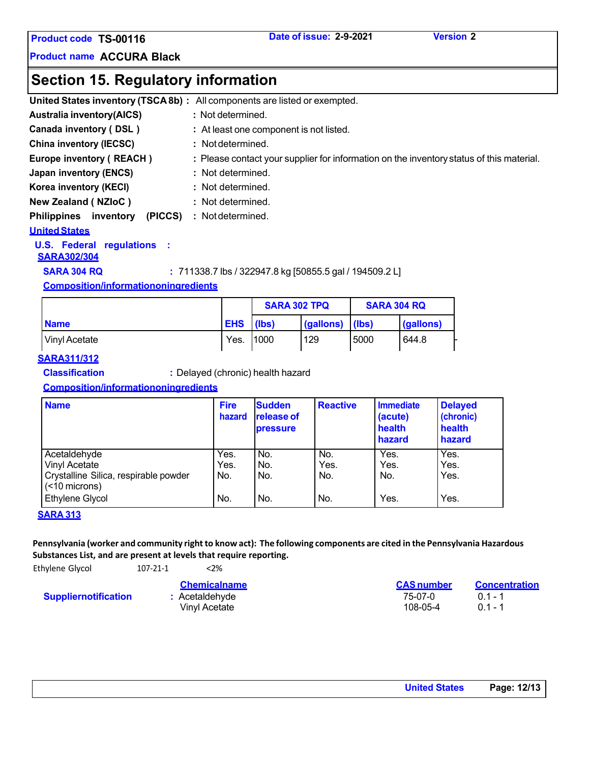**Product code TS-00116 Date of issue: 2-9-2021 Version 2**

**Product name ACCURA Black**

### **Section 15. Regulatory information**

|                                            | United States inventory (TSCA 8b) : All components are listed or exempted.               |
|--------------------------------------------|------------------------------------------------------------------------------------------|
| <b>Australia inventory(AICS)</b>           | : Not determined.                                                                        |
| Canada inventory (DSL)                     | : At least one component is not listed.                                                  |
| <b>China inventory (IECSC)</b>             | : Not determined.                                                                        |
| Europe inventory (REACH)                   | : Please contact your supplier for information on the inventory status of this material. |
| Japan inventory (ENCS)                     | : Not determined.                                                                        |
| Korea inventory (KECI)                     | : Not determined.                                                                        |
| New Zealand (NZIoC)                        | : Not determined.                                                                        |
| <b>Philippines</b><br>(PICCS)<br>inventory | : Not determined.                                                                        |
| <b>United States</b>                       |                                                                                          |

**U.S. Federal regulations :** 

#### **SARA302/304**

**SARA 304 RQ :** 711338.7 lbs / 322947.8 kg [50855.5 gal / 194509.2 L]

#### **Composition/informationoningredients**

|               |            | <b>SARA 302 TPQ</b> |           | <b>SARA 304 RQ</b> |           |
|---------------|------------|---------------------|-----------|--------------------|-----------|
| <b>Name</b>   | <b>EHS</b> | l (lbs)             | (gallons) | llbs)              | (gallons) |
| Vinyl Acetate | Yes.       | 11000               | 129       | 5000               | 644.8     |

#### **SARA311/312**

**Classification :** Delayed (chronic) health hazard

#### **Composition/informationoningredients**

| <b>Name</b>                                                                                                                 | <b>Fire</b><br>hazard      | <b>Sudden</b><br><b>release of</b><br>pressure | <b>Reactive</b>           | <b>Immediate</b><br>(acute)<br>health<br>hazard | <b>Delayed</b><br>(chronic)<br>health<br>hazard |
|-----------------------------------------------------------------------------------------------------------------------------|----------------------------|------------------------------------------------|---------------------------|-------------------------------------------------|-------------------------------------------------|
| Acetaldehyde<br><b>Vinyl Acetate</b><br>Crystalline Silica, respirable powder<br>$(< 10$ microns)<br><b>Ethylene Glycol</b> | Yes.<br>Yes.<br>No.<br>No. | No.<br>No.<br>No.<br>No.                       | No.<br>Yes.<br>No.<br>No. | Yes.<br>Yes.<br>No.<br>Yes.                     | Yes.<br>Yes.<br>Yes.<br>Yes.                    |

#### **SARA 313**

Pennsylvania (worker and community right to know act): The following components are cited in the Pennsylvania Hazardous **Substances List, and are present at levels that require reporting.**

Ethylene Glycol 107-21-1 <2%

| 107 L1 1 | 32. V               |  |  |
|----------|---------------------|--|--|
|          | <b>Chemicalname</b> |  |  |
|          | . Apotaldahuda      |  |  |

**Suppliernotification :** Acetaldehyde

Vinyl Acetate

| <b>CAS number</b> | <b>Concentration</b> |
|-------------------|----------------------|
| 75-07-0           | $0.1 - 1$            |
| 108-05-4          | $0.1 - 1$            |
|                   |                      |

| <b>United States</b> | Page: 12/13 |
|----------------------|-------------|
|----------------------|-------------|